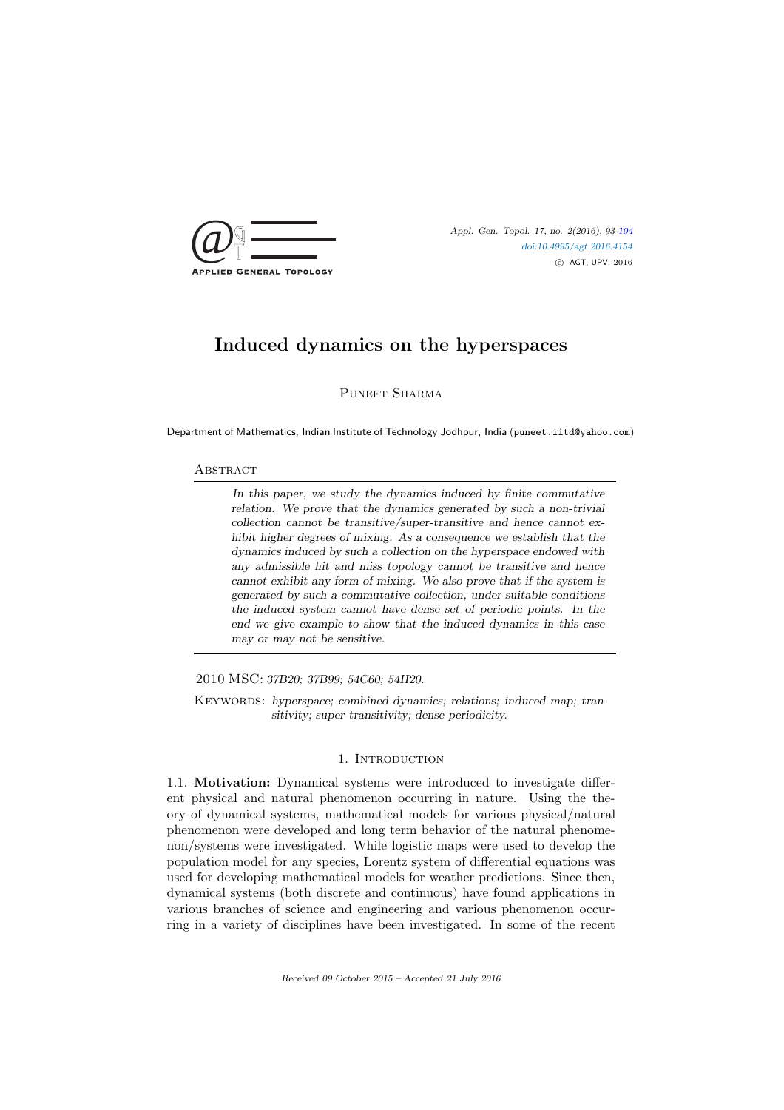

doi:10.4995/agt.2016.4154 c AGT, UPV, 2016

# Induced dynamics on the hyperspaces

Puneet Sharma

Department of Mathematics, Indian Institute of Technology Jodhpur, India (puneet.iitd@yahoo.com)

#### **ABSTRACT**

In this paper, we study the dynamics induced by finite commutative relation. We prove that the dynamics generated by such a non-trivial collection cannot be transitive/super-transitive and hence cannot exhibit higher degrees of mixing. As a consequence we establish that the dynamics induced by such a collection on the hyperspace endowed with any admissible hit and miss topology cannot be transitive and hence cannot exhibit any form of mixing. We also prove that if the system is generated by such a commutative collection, under suitable conditions the induced system cannot have dense set of periodic points. In the end we give example to show that the induced dynamics in this case may or may not be sensitive.

2010 MSC: 37B20; 37B99; 54C60; 54H20.

KEYWORDS: hyperspace; combined dynamics; relations; induced map; transitivity; super-transitivity; dense periodicity.

## 1. INTRODUCTION

1.1. Motivation: Dynamical systems were introduced to investigate different physical and natural phenomenon occurring in nature. Using the theory of dynamical systems, mathematical models for various physical/natural phenomenon were developed and long term behavior of the natural phenomenon/systems were investigated. While logistic maps were used to develop the population model for any species, Lorentz system of differential equations was used for developing mathematical models for weather predictions. Since then, dynamical systems (both discrete and continuous) have found applications in various branches of science and engineering and various phenomenon occurring in a variety of disciplines have been investigated. In some of the recent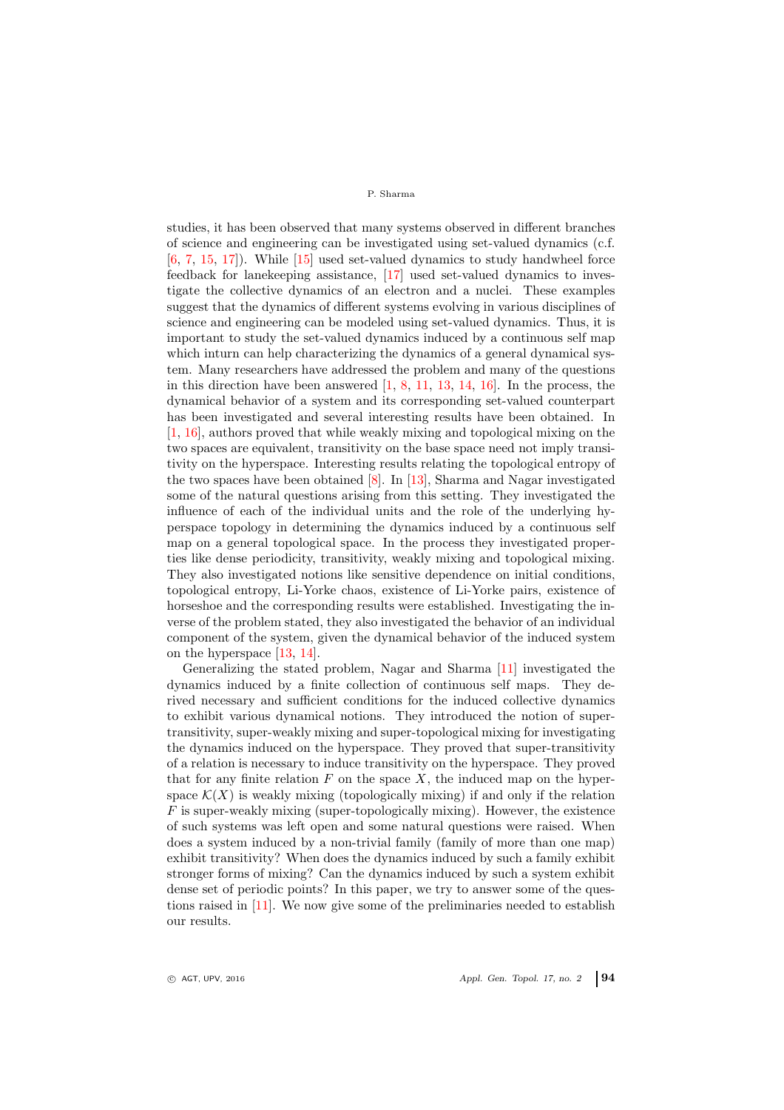studies, it has been observed that many systems observed in different branches of science and engineering can be investigated using set-valued dynamics (c.f. [6, 7, 15, 17]). While [15] used set-valued dynamics to study handwheel force feedback for lanekeeping assistance, [17] used set-valued dynamics to investigate the collective dynamics of an electron and a nuclei. These examples suggest that the dynamics of different systems evolving in various disciplines of science and engineering can be modeled using set-valued dynamics. Thus, it is important to study the set-valued dynamics induced by a continuous self map which inturn can help characterizing the dynamics of a general dynamical system. Many researchers have addressed the problem and many of the questions in this direction have been answered  $[1, 8, 11, 13, 14, 16]$ . In the process, the dynamical behavior of a system and its corresponding set-valued counterpart has been investigated and several interesting results have been obtained. In [1, 16], authors proved that while weakly mixing and topological mixing on the two spaces are equivalent, transitivity on the base space need not imply transitivity on the hyperspace. Interesting results relating the topological entropy of the two spaces have been obtained  $[8]$ . In [13], Sharma and Nagar investigated some of the natural questions arising from this setting. They investigated the influence of each of the individual units and the role of the underlying hyperspace topology in determining the dynamics induced by a continuous self map on a general topological space. In the process they investigated properties like dense periodicity, transitivity, weakly mixing and topological mixing. They also investigated notions like sensitive dependence on initial conditions, topological entropy, Li-Yorke chaos, existence of Li-Yorke pairs, existence of horseshoe and the corresponding results were established. Investigating the inverse of the problem stated, they also investigated the behavior of an individual component of the system, given the dynamical behavior of the induced system on the hyperspace [13, 14].

Generalizing the stated problem, Nagar and Sharma [11] investigated the dynamics induced by a finite collection of continuous self maps. They derived necessary and sufficient conditions for the induced collective dynamics to exhibit various dynamical notions. They introduced the notion of supertransitivity, super-weakly mixing and super-topological mixing for investigating the dynamics induced on the hyperspace. They proved that super-transitivity of a relation is necessary to induce transitivity on the hyperspace. They proved that for any finite relation  $F$  on the space  $X$ , the induced map on the hyperspace  $\mathcal{K}(X)$  is weakly mixing (topologically mixing) if and only if the relation  $F$  is super-weakly mixing (super-topologically mixing). However, the existence of such systems was left open and some natural questions were raised. When does a system induced by a non-trivial family (family of more than one map) exhibit transitivity? When does the dynamics induced by such a family exhibit stronger forms of mixing? Can the dynamics induced by such a system exhibit dense set of periodic points? In this paper, we try to answer some of the questions raised in [11]. We now give some of the preliminaries needed to establish our results.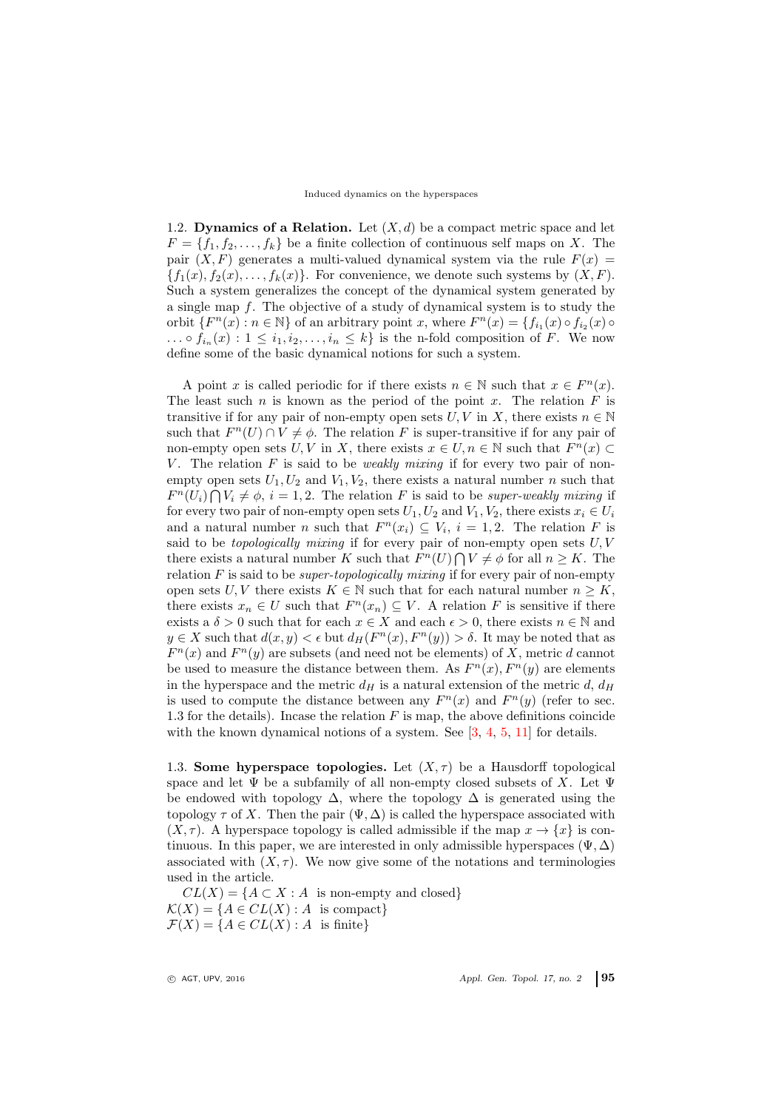#### Induced dynamics on the hyperspaces

1.2. Dynamics of a Relation. Let  $(X, d)$  be a compact metric space and let  $F = \{f_1, f_2, \ldots, f_k\}$  be a finite collection of continuous self maps on X. The pair  $(X, F)$  generates a multi-valued dynamical system via the rule  $F(x) =$  ${f_1(x), f_2(x), \ldots, f_k(x)}$ . For convenience, we denote such systems by  $(X, F)$ . Such a system generalizes the concept of the dynamical system generated by a single map f. The objective of a study of dynamical system is to study the orbit  $\{F^n(x) : n \in \mathbb{N}\}\$  of an arbitrary point x, where  $F^n(x) = \{f_{i_1}(x) \circ f_{i_2}(x) \circ f_{i_3}(x)\}$  $\ldots \circ f_{i_n}(x) : 1 \leq i_1, i_2, \ldots, i_n \leq k$  is the n-fold composition of F. We now define some of the basic dynamical notions for such a system.

A point x is called periodic for if there exists  $n \in \mathbb{N}$  such that  $x \in F^n(x)$ . The least such  $n$  is known as the period of the point  $x$ . The relation  $F$  is transitive if for any pair of non-empty open sets  $U, V$  in X, there exists  $n \in \mathbb{N}$ such that  $F^{n}(U) \cap V \neq \emptyset$ . The relation F is super-transitive if for any pair of non-empty open sets  $U, V$  in X, there exists  $x \in U, n \in \mathbb{N}$  such that  $F^{n}(x) \subset$ V. The relation  $F$  is said to be *weakly mixing* if for every two pair of nonempty open sets  $U_1, U_2$  and  $V_1, V_2$ , there exists a natural number n such that  $F^{n}(U_i) \bigcap V_i \neq \emptyset$ ,  $i = 1, 2$ . The relation F is said to be super-weakly mixing if for every two pair of non-empty open sets  $U_1, U_2$  and  $V_1, V_2$ , there exists  $x_i \in U_i$ and a natural number *n* such that  $F^n(x_i) \subseteq V_i$ ,  $i = 1, 2$ . The relation *F* is said to be *topologically mixing* if for every pair of non-empty open sets  $U, V$ there exists a natural number K such that  $F^{n}(U) \bigcap V \neq \emptyset$  for all  $n \geq K$ . The relation  $F$  is said to be *super-topologically mixing* if for every pair of non-empty open sets U, V there exists  $K \in \mathbb{N}$  such that for each natural number  $n \geq K$ , there exists  $x_n \in U$  such that  $F^n(x_n) \subseteq V$ . A relation F is sensitive if there exists a  $\delta > 0$  such that for each  $x \in X$  and each  $\epsilon > 0$ , there exists  $n \in \mathbb{N}$  and  $y \in X$  such that  $d(x, y) < \epsilon$  but  $d_H(F^n(x), F^n(y)) > \delta$ . It may be noted that as  $F^{n}(x)$  and  $F^{n}(y)$  are subsets (and need not be elements) of X, metric d cannot be used to measure the distance between them. As  $F^{n}(x)$ ,  $F^{n}(y)$  are elements in the hyperspace and the metric  $d_H$  is a natural extension of the metric d,  $d_H$ is used to compute the distance between any  $F^{n}(x)$  and  $F^{n}(y)$  (refer to sec. 1.3 for the details). Incase the relation  $F$  is map, the above definitions coincide with the known dynamical notions of a system. See [3, 4, 5, 11] for details.

1.3. Some hyperspace topologies. Let  $(X, \tau)$  be a Hausdorff topological space and let  $\Psi$  be a subfamily of all non-empty closed subsets of X. Let  $\Psi$ be endowed with topology  $\Delta$ , where the topology  $\Delta$  is generated using the topology  $\tau$  of X. Then the pair  $(\Psi, \Delta)$  is called the hyperspace associated with  $(X, \tau)$ . A hyperspace topology is called admissible if the map  $x \to \{x\}$  is continuous. In this paper, we are interested in only admissible hyperspaces ( $\Psi$ ,  $\Delta$ ) associated with  $(X, \tau)$ . We now give some of the notations and terminologies used in the article.

 $CL(X) = \{A \subset X : A$  is non-empty and closed}  $\mathcal{K}(X) = \{A \in CL(X) : A \text{ is compact}\}\$  $\mathcal{F}(X) = \{A \in CL(X) : A$  is finite}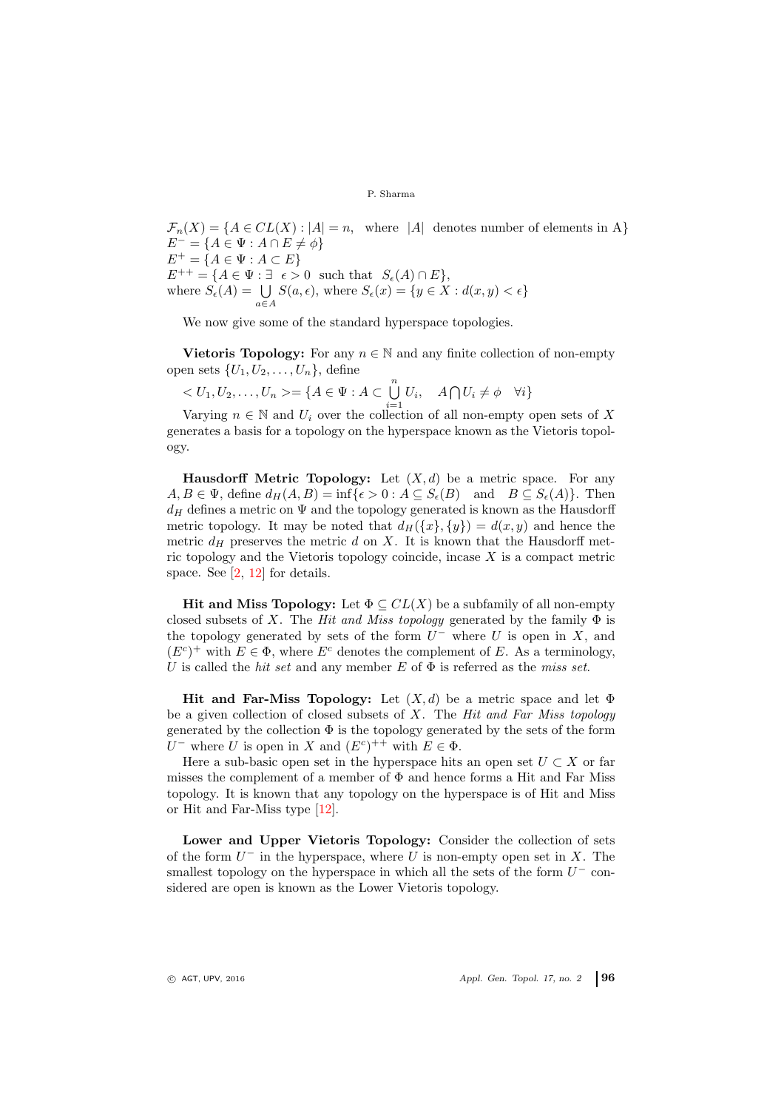$\mathcal{F}_n(X) = \{A \in CL(X) : |A| = n, \text{ where } |A| \text{ denotes number of elements in } A\}$  $E^- = \{A \in \Psi : A \cap E \neq \phi\}$  $E^+ = \{A \in \Psi : A \subset E\}$  $E^{++} = \{A \in \Psi : \exists \epsilon > 0 \text{ such that } S_{\epsilon}(A) \cap E\},\$ where  $S_{\epsilon}(A) = \bigcup_{a \in A} S(a, \epsilon)$ , where  $S_{\epsilon}(x) = \{y \in X : d(x, y) < \epsilon\}$ 

We now give some of the standard hyperspace topologies.

Vietoris Topology: For any  $n \in \mathbb{N}$  and any finite collection of non-empty open sets  $\{U_1, U_2, \ldots, U_n\}$ , define

$$
\langle U_1, U_2, \dots, U_n \rangle = \{ A \in \Psi : A \subset \bigcup_{i=1}^n U_i, \quad A \cap U_i \neq \emptyset \quad \forall i \}
$$

Varying  $n \in \mathbb{N}$  and  $U_i$  over the collection of all non-empty open sets of X generates a basis for a topology on the hyperspace known as the Vietoris topology.

**Hausdorff Metric Topology:** Let  $(X, d)$  be a metric space. For any  $A, B \in \Psi$ , define  $d_H(A, B) = \inf \{ \epsilon > 0 : A \subseteq S_{\epsilon}(B) \text{ and } B \subseteq S_{\epsilon}(A) \}.$  Then  $d_H$  defines a metric on  $\Psi$  and the topology generated is known as the Hausdorff metric topology. It may be noted that  $d_H({x}, {y}) = d(x, y)$  and hence the metric  $d_H$  preserves the metric d on X. It is known that the Hausdorff metric topology and the Vietoris topology coincide, incase  $X$  is a compact metric space. See [2, 12] for details.

Hit and Miss Topology: Let  $\Phi \subseteq CL(X)$  be a subfamily of all non-empty closed subsets of X. The Hit and Miss topology generated by the family  $\Phi$  is the topology generated by sets of the form  $U^-$  where U is open in X, and  $(E^{c})^{+}$  with  $E \in \Phi$ , where  $E^{c}$  denotes the complement of E. As a terminology, U is called the hit set and any member E of  $\Phi$  is referred as the miss set.

Hit and Far-Miss Topology: Let  $(X, d)$  be a metric space and let  $\Phi$ be a given collection of closed subsets of  $X$ . The *Hit and Far Miss topology* generated by the collection  $\Phi$  is the topology generated by the sets of the form U<sup>-</sup> where U is open in X and  $(E^c)^{++}$  with  $E \in \Phi$ .

Here a sub-basic open set in the hyperspace hits an open set  $U \subset X$  or far misses the complement of a member of  $\Phi$  and hence forms a Hit and Far Miss topology. It is known that any topology on the hyperspace is of Hit and Miss or Hit and Far-Miss type [12].

Lower and Upper Vietoris Topology: Consider the collection of sets of the form  $U^-$  in the hyperspace, where U is non-empty open set in X. The smallest topology on the hyperspace in which all the sets of the form  $U^-$  considered are open is known as the Lower Vietoris topology.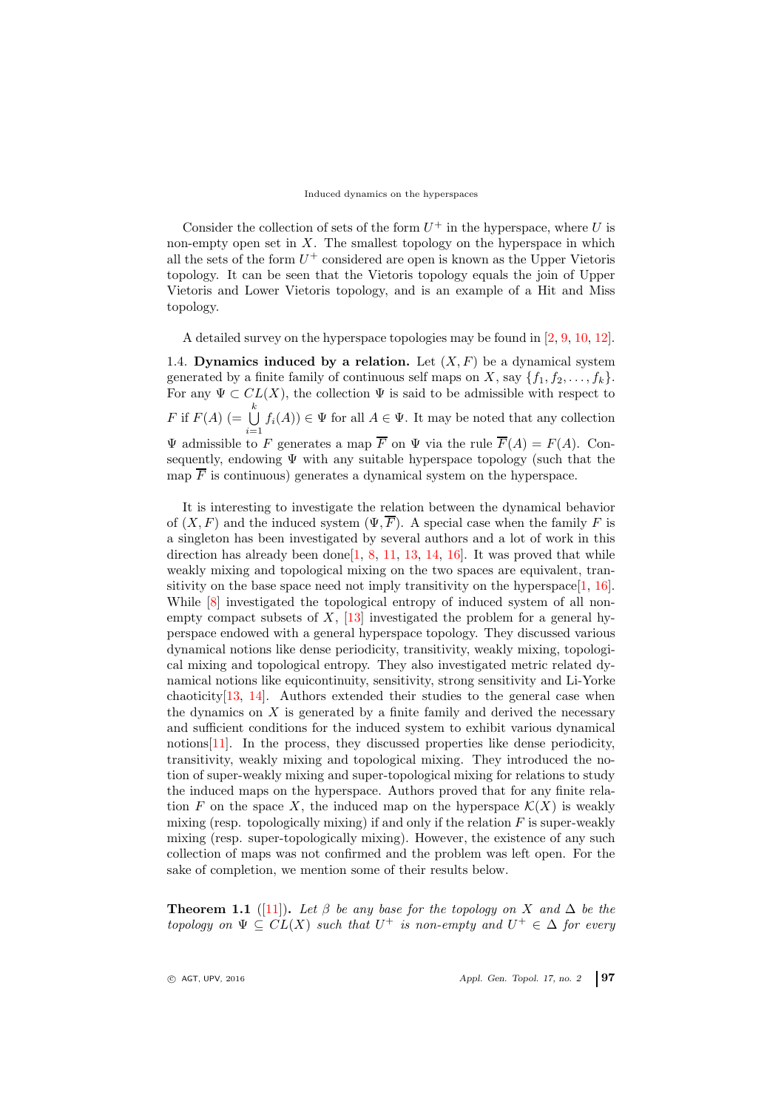#### Induced dynamics on the hyperspaces

Consider the collection of sets of the form  $U^+$  in the hyperspace, where U is non-empty open set in  $X$ . The smallest topology on the hyperspace in which all the sets of the form  $U^+$  considered are open is known as the Upper Vietoris topology. It can be seen that the Vietoris topology equals the join of Upper Vietoris and Lower Vietoris topology, and is an example of a Hit and Miss topology.

A detailed survey on the hyperspace topologies may be found in [2, 9, 10, 12].

1.4. Dynamics induced by a relation. Let  $(X, F)$  be a dynamical system generated by a finite family of continuous self maps on X, say  $\{f_1, f_2, \ldots, f_k\}$ . For any  $\Psi \subset CL(X)$ , the collection  $\Psi$  is said to be admissible with respect to F if  $F(A)$   $\bigoplus^k$  $\bigcup_{i=1} f_i(A)$   $\in \Psi$  for all  $A \in \Psi$ . It may be noted that any collection  $\Psi$  admissible to F generates a map F on  $\Psi$  via the rule  $F(A) = F(A)$ . Consequently, endowing  $\Psi$  with any suitable hyperspace topology (such that the map  $\overline{F}$  is continuous) generates a dynamical system on the hyperspace.

It is interesting to investigate the relation between the dynamical behavior of  $(X, F)$  and the induced system  $(\Psi, \overline{F})$ . A special case when the family F is a singleton has been investigated by several authors and a lot of work in this direction has already been done<sup>[1, 8, 11, 13, 14, 16]</sup>. It was proved that while weakly mixing and topological mixing on the two spaces are equivalent, transitivity on the base space need not imply transitivity on the hyperspace  $[1, 16]$ . While  $\lceil 8 \rceil$  investigated the topological entropy of induced system of all nonempty compact subsets of X, [13] investigated the problem for a general hyperspace endowed with a general hyperspace topology. They discussed various dynamical notions like dense periodicity, transitivity, weakly mixing, topological mixing and topological entropy. They also investigated metric related dynamical notions like equicontinuity, sensitivity, strong sensitivity and Li-Yorke chaoticity[13, 14]. Authors extended their studies to the general case when the dynamics on  $X$  is generated by a finite family and derived the necessary and sufficient conditions for the induced system to exhibit various dynamical notions[11]. In the process, they discussed properties like dense periodicity, transitivity, weakly mixing and topological mixing. They introduced the notion of super-weakly mixing and super-topological mixing for relations to study the induced maps on the hyperspace. Authors proved that for any finite relation F on the space X, the induced map on the hyperspace  $\mathcal{K}(X)$  is weakly mixing (resp. topologically mixing) if and only if the relation  $F$  is super-weakly mixing (resp. super-topologically mixing). However, the existence of any such collection of maps was not confirmed and the problem was left open. For the sake of completion, we mention some of their results below.

**Theorem 1.1** ([11]). Let  $\beta$  be any base for the topology on X and  $\Delta$  be the topology on  $\Psi \subseteq CL(X)$  such that  $U^+$  is non-empty and  $U^+ \in \Delta$  for every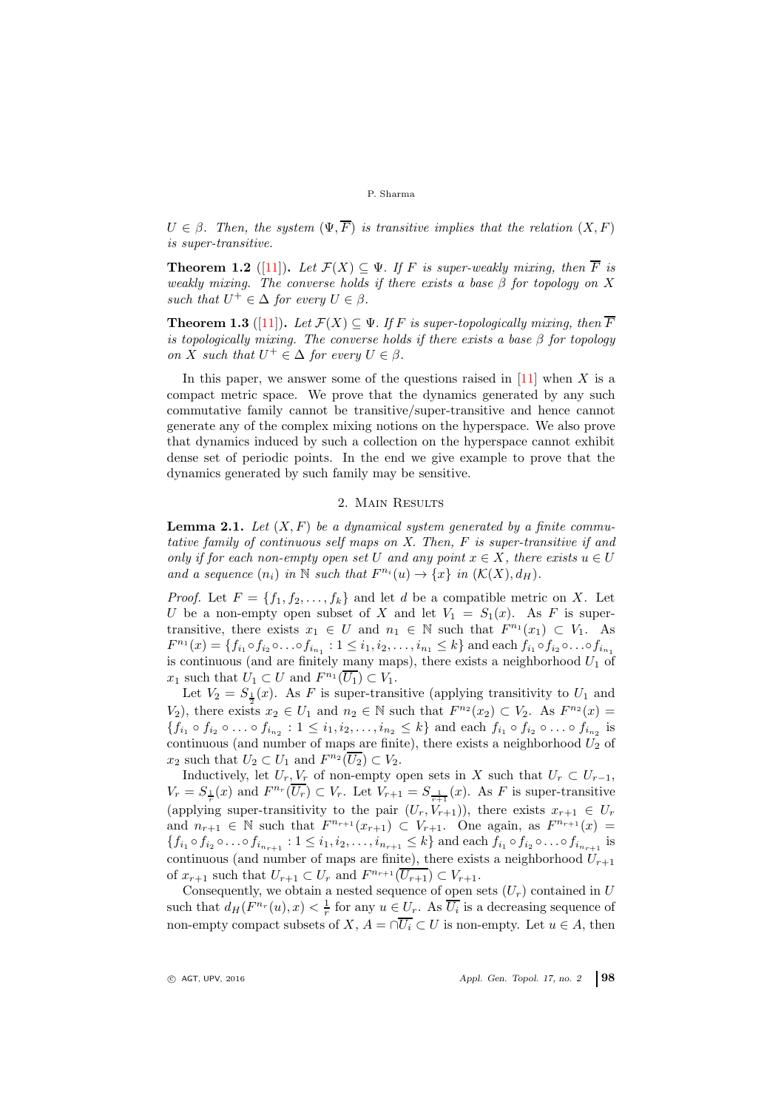$U \in \beta$ . Then, the system  $(\Psi, \overline{F})$  is transitive implies that the relation  $(X, F)$ is super-transitive.

**Theorem 1.2** ([11]). Let  $\mathcal{F}(X) \subseteq \Psi$ . If F is super-weakly mixing, then  $\overline{F}$  is weakly mixing. The converse holds if there exists a base  $\beta$  for topology on X such that  $U^+ \in \Delta$  for every  $U \in \beta$ .

**Theorem 1.3** ([11]). Let  $\mathcal{F}(X) \subseteq \Psi$ . If F is super-topologically mixing, then  $\overline{F}$ is topologically mixing. The converse holds if there exists a base  $\beta$  for topology on X such that  $U^+ \in \Delta$  for every  $U \in \beta$ .

In this paper, we answer some of the questions raised in  $[11]$  when X is a compact metric space. We prove that the dynamics generated by any such commutative family cannot be transitive/super-transitive and hence cannot generate any of the complex mixing notions on the hyperspace. We also prove that dynamics induced by such a collection on the hyperspace cannot exhibit dense set of periodic points. In the end we give example to prove that the dynamics generated by such family may be sensitive.

## 2. Main Results

**Lemma 2.1.** Let  $(X, F)$  be a dynamical system generated by a finite commutative family of continuous self maps on X. Then, F is super-transitive if and only if for each non-empty open set U and any point  $x \in X$ , there exists  $u \in U$ and a sequence  $(n_i)$  in  $\mathbb N$  such that  $F^{n_i}(u) \to \{x\}$  in  $(\mathcal K(X), d_H)$ .

*Proof.* Let  $F = \{f_1, f_2, \ldots, f_k\}$  and let d be a compatible metric on X. Let U be a non-empty open subset of X and let  $V_1 = S_1(x)$ . As F is supertransitive, there exists  $x_1 \in U$  and  $n_1 \in \mathbb{N}$  such that  $F^{n_1}(x_1) \subset V_1$ . As  $F^{n_1}(x) = \{f_{i_1} \circ f_{i_2} \circ \ldots \circ f_{i_{n_1}} : 1 \leq i_1, i_2, \ldots, i_{n_1} \leq k\}$  and each  $f_{i_1} \circ f_{i_2} \circ \ldots \circ f_{i_{n_1}}$ is continuous (and are finitely many maps), there exists a neighborhood  $U_1$  of  $x_1$  such that  $U_1 \subset U$  and  $F^{n_1}(\overline{U_1}) \subset V_1$ .

Let  $V_2 = S_{\frac{1}{2}}(x)$ . As F is super-transitive (applying transitivity to  $U_1$  and  $V_2$ ), there exists  $x_2 \in U_1$  and  $n_2 \in \mathbb{N}$  such that  $F^{n_2}(x_2) \subset V_2$ . As  $F^{n_2}(x) =$  $\{f_{i_1} \circ f_{i_2} \circ \ldots \circ f_{i_{n_2}} : 1 \leq i_1, i_2, \ldots, i_{n_2} \leq k\}$  and each  $f_{i_1} \circ f_{i_2} \circ \ldots \circ f_{i_{n_2}}$  is continuous (and number of maps are finite), there exists a neighborhood  $\tilde{U_2}$  of  $x_2$  such that  $U_2 \subset U_1$  and  $F^{n_2}(\overline{U_2}) \subset V_2$ .

Inductively, let  $U_r$ ,  $V_r$  of non-empty open sets in X such that  $U_r \subset U_{r-1}$ ,  $V_r = S_{\frac{1}{r}}(x)$  and  $F^{n_r}(\overline{U_r}) \subset V_r$ . Let  $V_{r+1} = S_{\frac{1}{r+1}}(x)$ . As F is super-transitive (applying super-transitivity to the pair  $(U_r, V_{r+1})$ ), there exists  $x_{r+1} \in U_r$ and  $n_{r+1} \in \mathbb{N}$  such that  $F^{n_{r+1}}(x_{r+1}) \subset V_{r+1}$ . One again, as  $F^{n_{r+1}}(x) =$  $\{f_{i_1} \circ f_{i_2} \circ \ldots \circ f_{i_{n_{r+1}}} : 1 \leq i_1, i_2, \ldots, i_{n_{r+1}} \leq k\}$  and each  $f_{i_1} \circ f_{i_2} \circ \ldots \circ f_{i_{n_{r+1}}}$  is continuous (and number of maps are finite), there exists a neighborhood  $U_{r+1}$ of  $x_{r+1}$  such that  $U_{r+1} \subset U_r$  and  $F^{n_{r+1}}(\overline{U_{r+1}}) \subset V_{r+1}$ .

Consequently, we obtain a nested sequence of open sets  $(U_r)$  contained in U such that  $d_H(F^{n_r}(u),x) < \frac{1}{r}$  for any  $u \in U_r$ . As  $\overline{U_i}$  is a decreasing sequence of non-empty compact subsets of X,  $A = \bigcap \overline{U_i} \subset U$  is non-empty. Let  $u \in A$ , then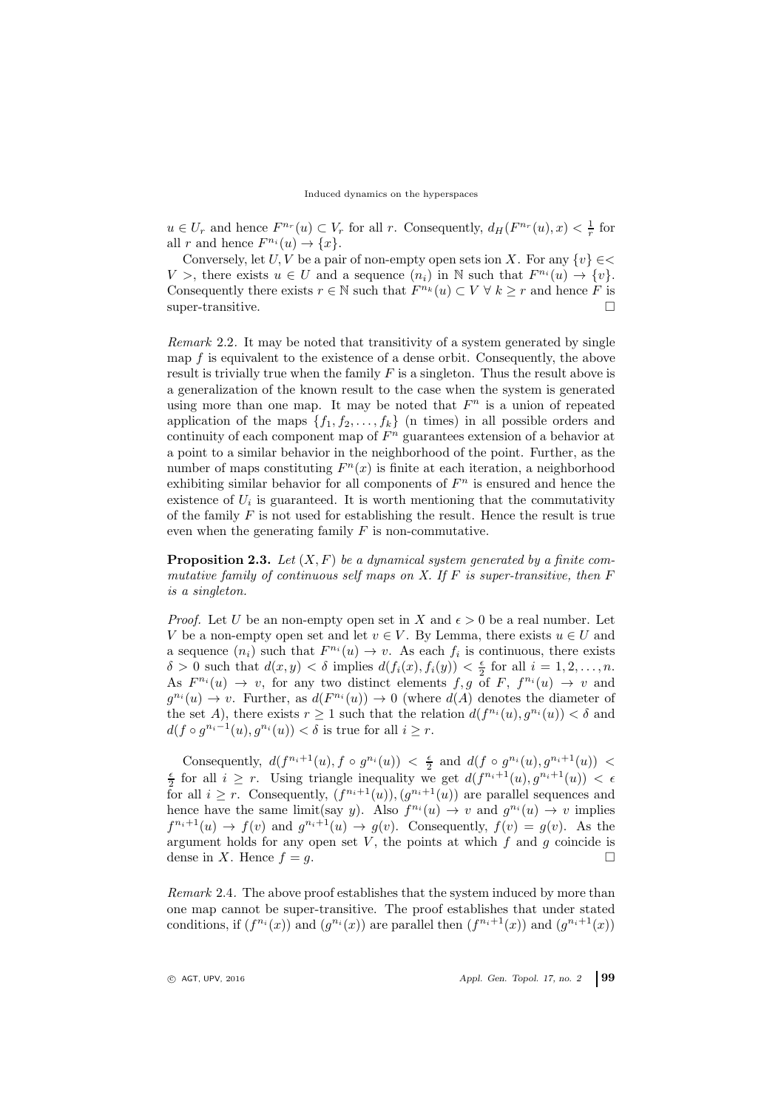$u \in U_r$  and hence  $F^{n_r}(u) \subset V_r$  for all r. Consequently,  $d_H(F^{n_r}(u), x) < \frac{1}{r}$  for all r and hence  $F^{n_i}(u) \to \{x\}.$ 

Conversely, let U, V be a pair of non-empty open sets ion X. For any  $\{v\} \in \leq$ V >, there exists  $u \in U$  and a sequence  $(n_i)$  in N such that  $F^{n_i}(u) \to \{v\}$ . Consequently there exists  $r \in \mathbb{N}$  such that  $F^{n_k}(u) \subset V \forall k \geq r$  and hence F is super-transitive.

Remark 2.2. It may be noted that transitivity of a system generated by single map f is equivalent to the existence of a dense orbit. Consequently, the above result is trivially true when the family  $F$  is a singleton. Thus the result above is a generalization of the known result to the case when the system is generated using more than one map. It may be noted that  $F<sup>n</sup>$  is a union of repeated application of the maps  $\{f_1, f_2, \ldots, f_k\}$  (n times) in all possible orders and continuity of each component map of  $F<sup>n</sup>$  guarantees extension of a behavior at a point to a similar behavior in the neighborhood of the point. Further, as the number of maps constituting  $F<sup>n</sup>(x)$  is finite at each iteration, a neighborhood exhibiting similar behavior for all components of  $F<sup>n</sup>$  is ensured and hence the existence of  $U_i$  is guaranteed. It is worth mentioning that the commutativity of the family  $F$  is not used for establishing the result. Hence the result is true even when the generating family  $F$  is non-commutative.

**Proposition 2.3.** Let  $(X, F)$  be a dynamical system generated by a finite commutative family of continuous self maps on  $X$ . If  $F$  is super-transitive, then  $F$ is a singleton.

*Proof.* Let U be an non-empty open set in X and  $\epsilon > 0$  be a real number. Let V be a non-empty open set and let  $v \in V$ . By Lemma, there exists  $u \in U$  and a sequence  $(n_i)$  such that  $F^{n_i}(u) \to v$ . As each  $f_i$  is continuous, there exists  $\delta > 0$  such that  $d(x, y) < \delta$  implies  $d(f_i(x), f_i(y)) < \frac{\epsilon}{2}$  for all  $i = 1, 2, ..., n$ . As  $F^{n_i}(u) \to v$ , for any two distinct elements f, g of F,  $f^{n_i}(u) \to v$  and  $g^{n_i}(u) \to v$ . Further, as  $d(F^{n_i}(u)) \to 0$  (where  $d(A)$  denotes the diameter of the set A), there exists  $r \geq 1$  such that the relation  $d(f^{n_i}(u), g^{n_i}(u)) < \delta$  and  $d(f \circ g^{n_i-1}(u), g^{n_i}(u)) < \delta$  is true for all  $i \geq r$ .

Consequently,  $d(f^{n_i+1}(u), f \circ g^{n_i}(u)) < \frac{\epsilon}{2}$  and  $d(f \circ g^{n_i}(u), g^{n_i+1}(u)) < \frac{\epsilon}{2}$  for all  $i \geq r$ . Using triangle inequality we get  $d(f^{n_i+1}(u), g^{n_i+1}(u)) < \epsilon$ for all  $i \geq r$ . Consequently,  $(f^{n_i+1}(u)), (g^{n_i+1}(u))$  are parallel sequences and hence have the same limit(say y). Also  $f^{n_i}(u) \to v$  and  $g^{n_i}(u) \to v$  implies  $f^{n_i+1}(u) \to f(v)$  and  $g^{n_i+1}(u) \to g(v)$ . Consequently,  $f(v) = g(v)$ . As the argument holds for any open set V, the points at which  $f$  and  $g$  coincide is dense in X. Hence  $f = g$ .

Remark 2.4. The above proof establishes that the system induced by more than one map cannot be super-transitive. The proof establishes that under stated conditions, if  $(f^{n_i}(x))$  and  $(g^{n_i}(x))$  are parallel then  $(f^{n_i+1}(x))$  and  $(g^{n_i+1}(x))$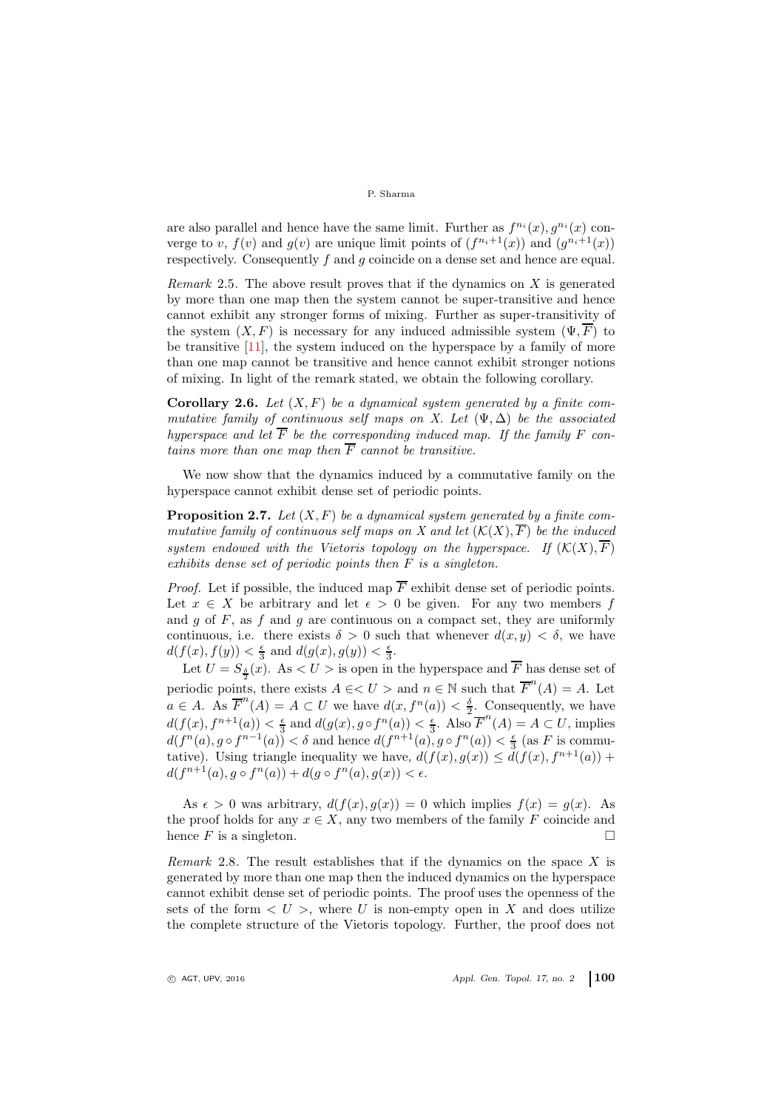are also parallel and hence have the same limit. Further as  $f^{n_i}(x), g^{n_i}(x)$  converge to v,  $f(v)$  and  $g(v)$  are unique limit points of  $(f^{n_i+1}(x))$  and  $(g^{n_i+1}(x))$ respectively. Consequently f and q coincide on a dense set and hence are equal.

Remark 2.5. The above result proves that if the dynamics on  $X$  is generated by more than one map then the system cannot be super-transitive and hence cannot exhibit any stronger forms of mixing. Further as super-transitivity of the system  $(X, F)$  is necessary for any induced admissible system  $(\Psi, \overline{F})$  to be transitive  $[11]$ , the system induced on the hyperspace by a family of more than one map cannot be transitive and hence cannot exhibit stronger notions of mixing. In light of the remark stated, we obtain the following corollary.

**Corollary 2.6.** Let  $(X, F)$  be a dynamical system generated by a finite commutative family of continuous self maps on X. Let  $(\Psi, \Delta)$  be the associated hyperspace and let  $\overline{F}$  be the corresponding induced map. If the family F contains more than one map then  $\overline{F}$  cannot be transitive.

We now show that the dynamics induced by a commutative family on the hyperspace cannot exhibit dense set of periodic points.

**Proposition 2.7.** Let  $(X, F)$  be a dynamical system generated by a finite commutative family of continuous self maps on X and let  $(K(X), \overline{F})$  be the induced system endowed with the Vietoris topology on the hyperspace. If  $(\mathcal{K}(X), \overline{F})$ exhibits dense set of periodic points then F is a singleton.

*Proof.* Let if possible, the induced map  $\overline{F}$  exhibit dense set of periodic points. Let  $x \in X$  be arbitrary and let  $\epsilon > 0$  be given. For any two members f and g of  $F$ , as  $f$  and  $g$  are continuous on a compact set, they are uniformly continuous, i.e. there exists  $\delta > 0$  such that whenever  $d(x, y) < \delta$ , we have  $d(f(x), f(y)) < \frac{\epsilon}{3}$  and  $d(g(x), g(y)) < \frac{\epsilon}{3}$ .

Let  $U = S_{\frac{\delta}{2}}(x)$ . As  $\lt U >$  is open in the hyperspace and F has dense set of periodic points, there exists  $A \in \langle U \rangle$  and  $n \in \mathbb{N}$  such that  $\overline{F}^n(A) = A$ . Let  $a \in A$ . As  $\overline{F}^n(A) = A \subset U$  we have  $d(x, f^n(a)) < \frac{\delta}{2}$ . Consequently, we have  $d(f(x), f^{n+1}(a)) < \frac{\epsilon}{3}$  and  $d(g(x), g \circ f^n(a)) < \frac{\epsilon}{3}$ . Also  $\overline{F}^n(A) = A \subset U$ , implies  $d(f^{n}(a), g \circ f^{n-1}(a)) < \delta$  and hence  $d(f^{n+1}(a), g \circ f^{n}(a)) < \frac{\epsilon}{3}$  (as F is commutative). Using triangle inequality we have,  $d(f(x), g(x)) \leq d(f(x), f^{n+1}(a))$  +  $d(f^{n+1}(a), g \circ f^n(a)) + d(g \circ f^n(a), g(x)) < \epsilon.$ 

As  $\epsilon > 0$  was arbitrary,  $d(f(x), g(x)) = 0$  which implies  $f(x) = g(x)$ . As the proof holds for any  $x \in X$ , any two members of the family F coincide and hence F is a singleton.

Remark 2.8. The result establishes that if the dynamics on the space  $X$  is generated by more than one map then the induced dynamics on the hyperspace cannot exhibit dense set of periodic points. The proof uses the openness of the sets of the form  $\langle U \rangle$ , where U is non-empty open in X and does utilize the complete structure of the Vietoris topology. Further, the proof does not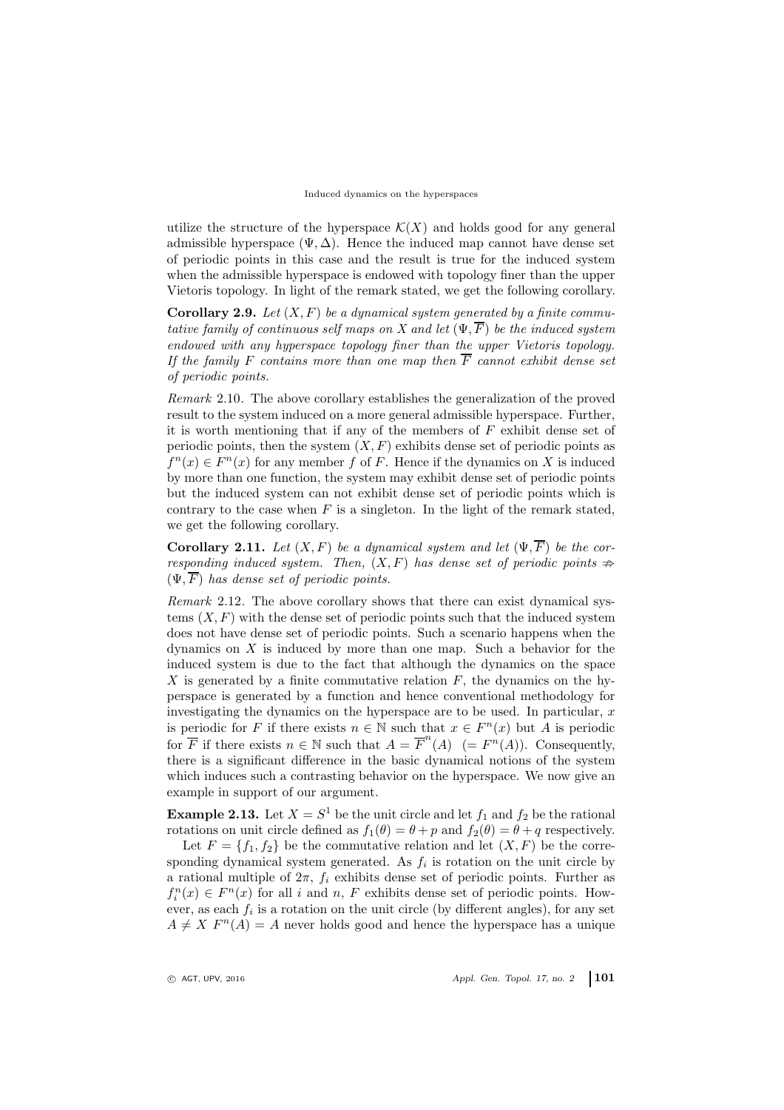utilize the structure of the hyperspace  $\mathcal{K}(X)$  and holds good for any general admissible hyperspace ( $\Psi$ ,  $\Delta$ ). Hence the induced map cannot have dense set of periodic points in this case and the result is true for the induced system when the admissible hyperspace is endowed with topology finer than the upper Vietoris topology. In light of the remark stated, we get the following corollary.

**Corollary 2.9.** Let  $(X, F)$  be a dynamical system generated by a finite commutative family of continuous self maps on X and let  $(\Psi, \overline{F})$  be the induced system endowed with any hyperspace topology finer than the upper Vietoris topology. If the family F contains more than one map then  $\overline{F}$  cannot exhibit dense set of periodic points.

Remark 2.10. The above corollary establishes the generalization of the proved result to the system induced on a more general admissible hyperspace. Further, it is worth mentioning that if any of the members of  $F$  exhibit dense set of periodic points, then the system  $(X, F)$  exhibits dense set of periodic points as  $f^{n}(x) \in F^{n}(x)$  for any member f of F. Hence if the dynamics on X is induced by more than one function, the system may exhibit dense set of periodic points but the induced system can not exhibit dense set of periodic points which is contrary to the case when  $F$  is a singleton. In the light of the remark stated, we get the following corollary.

**Corollary 2.11.** Let  $(X, F)$  be a dynamical system and let  $(\Psi, \overline{F})$  be the corresponding induced system. Then,  $(X, F)$  has dense set of periodic points  $\Rightarrow$  $(\Psi, F)$  has dense set of periodic points.

Remark 2.12. The above corollary shows that there can exist dynamical systems  $(X, F)$  with the dense set of periodic points such that the induced system does not have dense set of periodic points. Such a scenario happens when the dynamics on  $X$  is induced by more than one map. Such a behavior for the induced system is due to the fact that although the dynamics on the space X is generated by a finite commutative relation  $F$ , the dynamics on the hyperspace is generated by a function and hence conventional methodology for investigating the dynamics on the hyperspace are to be used. In particular,  $x$ is periodic for F if there exists  $n \in \mathbb{N}$  such that  $x \in F^n(x)$  but A is periodic for  $\overline{F}$  if there exists  $n \in \mathbb{N}$  such that  $A = \overline{F}^n(A)$  (=  $F^n(A)$ ). Consequently, there is a significant difference in the basic dynamical notions of the system which induces such a contrasting behavior on the hyperspace. We now give an example in support of our argument.

**Example 2.13.** Let  $X = S^1$  be the unit circle and let  $f_1$  and  $f_2$  be the rational rotations on unit circle defined as  $f_1(\theta) = \theta + p$  and  $f_2(\theta) = \theta + q$  respectively.

Let  $F = \{f_1, f_2\}$  be the commutative relation and let  $(X, F)$  be the corresponding dynamical system generated. As  $f_i$  is rotation on the unit circle by a rational multiple of  $2\pi$ ,  $f_i$  exhibits dense set of periodic points. Further as  $f_i^n(x) \in F^n(x)$  for all i and n, F exhibits dense set of periodic points. However, as each  $f_i$  is a rotation on the unit circle (by different angles), for any set  $A \neq X$   $F<sup>n</sup>(A) = A$  never holds good and hence the hyperspace has a unique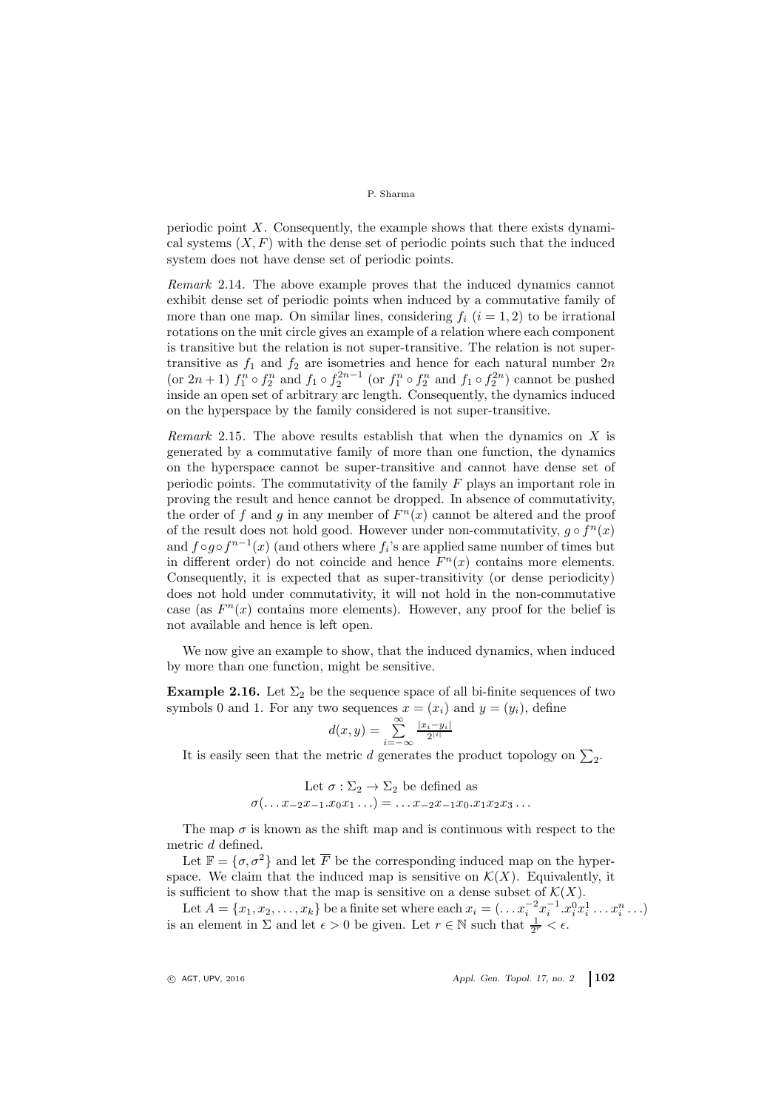periodic point  $X$ . Consequently, the example shows that there exists dynamical systems  $(X, F)$  with the dense set of periodic points such that the induced system does not have dense set of periodic points.

Remark 2.14. The above example proves that the induced dynamics cannot exhibit dense set of periodic points when induced by a commutative family of more than one map. On similar lines, considering  $f_i$   $(i = 1, 2)$  to be irrational rotations on the unit circle gives an example of a relation where each component is transitive but the relation is not super-transitive. The relation is not supertransitive as  $f_1$  and  $f_2$  are isometries and hence for each natural number  $2n$ (or  $2n+1$ )  $f_1^n \circ f_2^n$  and  $f_1 \circ f_2^{2n-1}$  (or  $f_1^n \circ f_2^n$  and  $f_1 \circ f_2^{2n}$ ) cannot be pushed inside an open set of arbitrary arc length. Consequently, the dynamics induced on the hyperspace by the family considered is not super-transitive.

*Remark* 2.15. The above results establish that when the dynamics on  $X$  is generated by a commutative family of more than one function, the dynamics on the hyperspace cannot be super-transitive and cannot have dense set of periodic points. The commutativity of the family  $F$  plays an important role in proving the result and hence cannot be dropped. In absence of commutativity, the order of f and g in any member of  $F<sup>n</sup>(x)$  cannot be altered and the proof of the result does not hold good. However under non-commutativity,  $g \circ f^{n}(x)$ and  $f \circ g \circ f^{n-1}(x)$  (and others where  $f_i$ 's are applied same number of times but in different order) do not coincide and hence  $F<sup>n</sup>(x)$  contains more elements. Consequently, it is expected that as super-transitivity (or dense periodicity) does not hold under commutativity, it will not hold in the non-commutative case (as  $F^{n}(x)$  contains more elements). However, any proof for the belief is not available and hence is left open.

We now give an example to show, that the induced dynamics, when induced by more than one function, might be sensitive.

**Example 2.16.** Let  $\Sigma_2$  be the sequence space of all bi-finite sequences of two symbols 0 and 1. For any two sequences  $x = (x_i)$  and  $y = (y_i)$ , define

$$
d(x,y) = \sum_{i=-\infty}^{\infty} \frac{|x_i - y_i|}{2^{|i|}}
$$

It is easily seen that the metric *d* generates the product topology on  $\Sigma_2$ .

Let 
$$
\sigma : \Sigma_2 \to \Sigma_2
$$
 be defined as  
 $\sigma(\ldots x_{-2}x_{-1}.x_0x_1 \ldots) = \ldots x_{-2}x_{-1}x_0.x_1x_2x_3 \ldots$ 

The map  $\sigma$  is known as the shift map and is continuous with respect to the metric d defined.

Let  $\mathbb{F} = {\sigma, \sigma^2}$  and let  $\overline{F}$  be the corresponding induced map on the hyperspace. We claim that the induced map is sensitive on  $\mathcal{K}(X)$ . Equivalently, it is sufficient to show that the map is sensitive on a dense subset of  $\mathcal{K}(X)$ .

Let  $A = \{x_1, x_2, \ldots, x_k\}$  be a finite set where each  $x_i = (\ldots x_i^{-2} x_i^{-1} \ldots x_i^0 x_i^1 \ldots x_i^n \ldots)$ is an element in  $\Sigma$  and let  $\epsilon > 0$  be given. Let  $r \in \mathbb{N}$  such that  $\frac{1}{2^r} < \epsilon$ .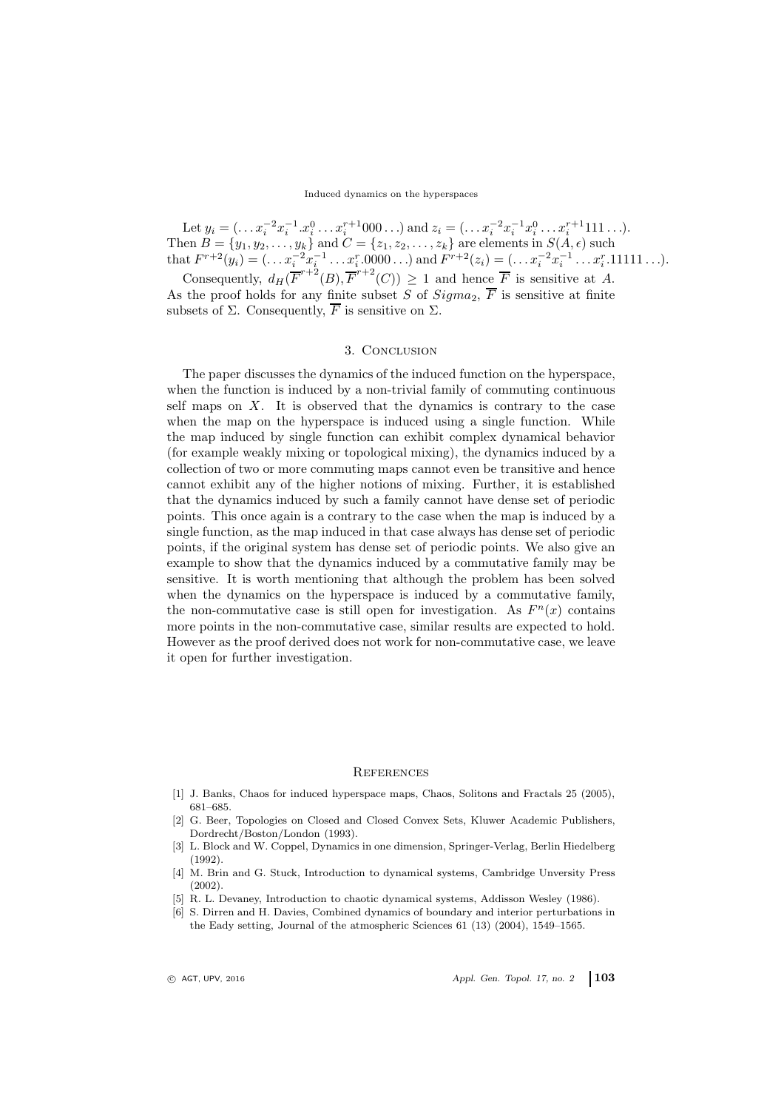#### Induced dynamics on the hyperspaces

Let  $y_i = (\ldots x_i^{-2} x_i^{-1} \ldots x_i^{n+1} 000 \ldots)$  and  $z_i = (\ldots x_i^{-2} x_i^{-1} x_i^0 \ldots x_i^{n+1} 111 \ldots)$ . Then  $B = \{y_1, y_2, \ldots, y_k\}$  and  $C = \{z_1, z_2, \ldots, z_k\}$  are elements in  $S(A, \epsilon)$  such that  $F^{r+2}(y_i) = (\ldots x_i^{-2} x_i^{-1} \ldots x_i^{r} \cdot 0000 \ldots)$  and  $F^{r+2}(z_i) = (\ldots x_i^{-2} x_i^{-1} \ldots x_i^{r} \cdot 11111 \ldots)$ . Consequently,  $d_H(\overline{F}^{r+2}(B), \overline{F}^{r+2}(C)) \geq 1$  and hence  $\overline{F}$  is sensitive at A.

As the proof holds for any finite subset S of  $Sigma_2$ ,  $\overline{F}$  is sensitive at finite subsets of  $\Sigma$ . Consequently,  $\overline{F}$  is sensitive on  $\Sigma$ .

## 3. Conclusion

The paper discusses the dynamics of the induced function on the hyperspace, when the function is induced by a non-trivial family of commuting continuous self maps on  $X$ . It is observed that the dynamics is contrary to the case when the map on the hyperspace is induced using a single function. While the map induced by single function can exhibit complex dynamical behavior (for example weakly mixing or topological mixing), the dynamics induced by a collection of two or more commuting maps cannot even be transitive and hence cannot exhibit any of the higher notions of mixing. Further, it is established that the dynamics induced by such a family cannot have dense set of periodic points. This once again is a contrary to the case when the map is induced by a single function, as the map induced in that case always has dense set of periodic points, if the original system has dense set of periodic points. We also give an example to show that the dynamics induced by a commutative family may be sensitive. It is worth mentioning that although the problem has been solved when the dynamics on the hyperspace is induced by a commutative family, the non-commutative case is still open for investigation. As  $F<sup>n</sup>(x)$  contains more points in the non-commutative case, similar results are expected to hold. However as the proof derived does not work for non-commutative case, we leave it open for further investigation.

#### **REFERENCES**

- [1] J. Banks, Chaos for induced hyperspace maps, Chaos, Solitons and Fractals 25 (2005), 681–685.
- [2] G. Beer, Topologies on Closed and Closed Convex Sets, Kluwer Academic Publishers, Dordrecht/Boston/London (1993).
- [3] L. Block and W. Coppel, Dynamics in one dimension, Springer-Verlag, Berlin Hiedelberg (1992).
- [4] M. Brin and G. Stuck, Introduction to dynamical systems, Cambridge Unversity Press (2002).
- [5] R. L. Devaney, Introduction to chaotic dynamical systems, Addisson Wesley (1986).
- [6] S. Dirren and H. Davies, Combined dynamics of boundary and interior perturbations in the Eady setting, Journal of the atmospheric Sciences 61 (13) (2004), 1549–1565.